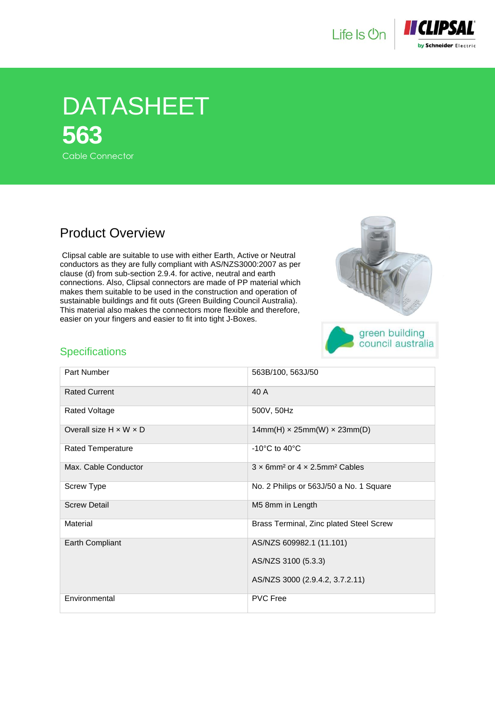



## DATASHEET **563** Cable Connector

## Product Overview

 Clipsal cable are suitable to use with either Earth, Active or Neutral conductors as they are fully compliant with AS/NZS3000:2007 as per clause (d) from sub-section 2.9.4. for active, neutral and earth connections. Also, Clipsal connectors are made of PP material which makes them suitable to be used in the construction and operation of sustainable buildings and fit outs (Green Building Council Australia). This material also makes the connectors more flexible and therefore, easier on your fingers and easier to fit into tight J-Boxes.



## **Specifications**

| Part Number                        | 563B/100, 563J/50                                                     |
|------------------------------------|-----------------------------------------------------------------------|
| <b>Rated Current</b>               | 40 A                                                                  |
| Rated Voltage                      | 500V, 50Hz                                                            |
| Overall size $H \times W \times D$ | $14mm(H) \times 25mm(W) \times 23mm(D)$                               |
| Rated Temperature                  | -10 $\degree$ C to 40 $\degree$ C                                     |
| Max. Cable Conductor               | $3 \times 6$ mm <sup>2</sup> or $4 \times 2.5$ mm <sup>2</sup> Cables |
| <b>Screw Type</b>                  | No. 2 Philips or 563J/50 a No. 1 Square                               |
| <b>Screw Detail</b>                | M5 8mm in Length                                                      |
| Material                           | Brass Terminal, Zinc plated Steel Screw                               |
| Earth Compliant                    | AS/NZS 609982.1 (11.101)                                              |
|                                    | AS/NZS 3100 (5.3.3)                                                   |
|                                    | AS/NZS 3000 (2.9.4.2, 3.7.2.11)                                       |
| Environmental                      | <b>PVC Free</b>                                                       |